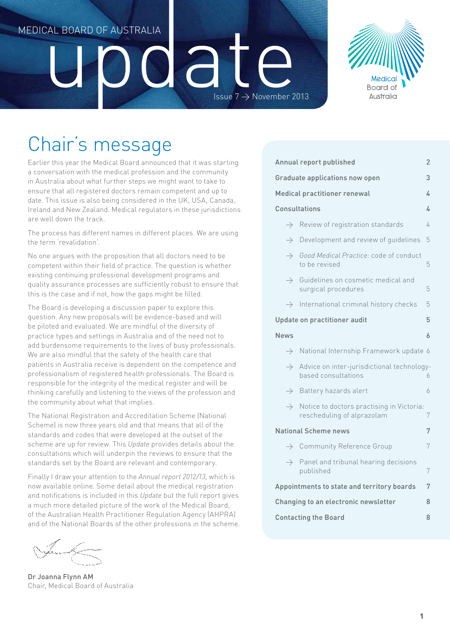# Medical Board of Australia

# Medical Board of Australia

Issue  $7 \rightarrow$  November 2013

 $\overline{d}$ 

# Chair's message

Earlier this year the Medical Board announced that it was starting a conversation with the medical profession and the community in Australia about what further steps we might want to take to ensure that all registered doctors remain competent and up to date. This issue is also being considered in the UK, USA, Canada, Ireland and New Zealand. Medical regulators in these jurisdictions are well down the track.

The process has different names in different places. We are using the term 'revalidation'.

No one argues with the proposition that all doctors need to be competent within their field of practice. The question is whether existing continuing professional development programs and quality assurance processes are sufficiently robust to ensure that this is the case and if not, how the gaps might be filled.

The Board is developing a discussion paper to explore this question. Any new proposals will be evidence-based and will be piloted and evaluated. We are mindful of the diversity of practice types and settings in Australia and of the need not to add burdensome requirements to the lives of busy professionals. We are also mindful that the safety of the health care that patients in Australia receive is dependent on the competence and professionalism of registered health professionals. The Board is responsible for the integrity of the medical register and will be thinking carefully and listening to the views of the profession and the community about what that implies.

The National Registration and Accreditation Scheme (National Scheme) is now three years old and that means that all of the standards and codes that were developed at the outset of the scheme are up for review. This *Update* provides details about the consultations which will underpin the reviews to ensure that the standards set by the Board are relevant and contemporary.

Finally I draw your attention to the *Annual report 2012/13*, which is now available online. Some detail about the medical registration and notifications is included in this *Update* but the full report gives a much more detailed picture of the work of the Medical Board, of the Australian Health Practitioner Regulation Agency (AHPRA) and of the National Boards of the other professions in the scheme.

Dr Joanna Flynn AM Chair, Medical Board of Australia

| Annual report published<br>2                    |                                                                         |   |  |  |  |
|-------------------------------------------------|-------------------------------------------------------------------------|---|--|--|--|
|                                                 | Graduate applications now open                                          | 3 |  |  |  |
|                                                 | Medical practitioner renewal<br>4                                       |   |  |  |  |
| Consultations<br>4                              |                                                                         |   |  |  |  |
| $\rightarrow$                                   | Review of registration standards                                        | 4 |  |  |  |
| $\rightarrow$                                   | Development and review of quidelines                                    | 5 |  |  |  |
| $\rightarrow$                                   | Good Medical Practice: code of conduct<br>to be revised                 | 5 |  |  |  |
| $\rightarrow$                                   | Guidelines on cosmetic medical and<br>surgical procedures               | 5 |  |  |  |
| $\rightarrow$                                   | International criminal history checks                                   | 5 |  |  |  |
| Update on practitioner audit<br>5               |                                                                         |   |  |  |  |
| <b>News</b>                                     |                                                                         | 6 |  |  |  |
| $\rightarrow$                                   | National Internship Framework update 6                                  |   |  |  |  |
| $\rightarrow$                                   | Advice on inter-jurisdictional technology-<br>based consultations       | 6 |  |  |  |
| $\rightarrow$                                   | Battery hazards alert                                                   | 6 |  |  |  |
| $\rightarrow$                                   | Notice to doctors practising in Victoria:<br>rescheduling of alprazolam | 7 |  |  |  |
| National Scheme news<br>7                       |                                                                         |   |  |  |  |
|                                                 | $\rightarrow$ Community Reference Group                                 | 7 |  |  |  |
|                                                 | $\rightarrow$ Panel and tribunal hearing decisions<br>published         | 7 |  |  |  |
| Appointments to state and territory boards<br>7 |                                                                         |   |  |  |  |
| Changing to an electronic newsletter<br>8       |                                                                         |   |  |  |  |
| 8<br><b>Contacting the Board</b>                |                                                                         |   |  |  |  |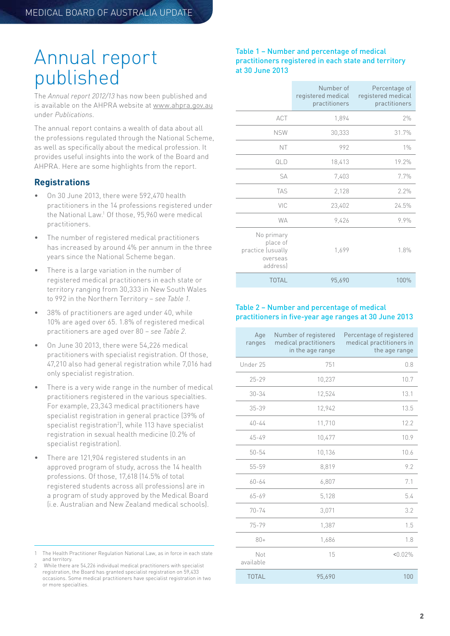### <span id="page-1-0"></span>Annual report published

The *Annual report 2012/13* has now been published and is available on the AHPRA website at [www.ahpra.gov.au](http://www.ahpra.gov.au/Legislation-and-Publications/AHPRA-Publications.aspx%23annual) under *Publications*.

The annual report contains a wealth of data about all the professions regulated through the National Scheme, as well as specifically about the medical profession. It provides useful insights into the work of the Board and AHPRA. Here are some highlights from the report.

#### **Registrations**

- On 30 June 2013, there were 592,470 health practitioners in the 14 professions registered under the National Law.1 Of those, 95,960 were medical practitioners.
- The number of registered medical practitioners has increased by around 4% per annum in the three years since the National Scheme began.
- There is a large variation in the number of registered medical practitioners in each state or territory ranging from 30,333 in New South Wales to 992 in the Northern Territory – *see Table 1*.
- 38% of practitioners are aged under 40, while 10% are aged over 65. 1.8% of registered medical practitioners are aged over 80 – *see Table 2*.
- On June 30 2013, there were 54,226 medical practitioners with specialist registration. Of those, 47,210 also had general registration while 7,016 had only specialist registration.
- There is a very wide range in the number of medical practitioners registered in the various specialties. For example, 23,343 medical practitioners have specialist registration in general practice (39% of specialist registration<sup>2</sup>, while 113 have specialist registration in sexual health medicine (0.2% of specialist registration).
- There are 121,904 registered students in an approved program of study, across the 14 health professions. Of those, 17,618 (14.5% of total registered students across all professions) are in a program of study approved by the Medical Board (i.e. Australian and New Zealand medical schools).

#### Table 1 – Number and percentage of medical practitioners registered in each state and territory at 30 June 2013

|                                                                     | Number of<br>registered medical<br>practitioners | Percentage of<br>registered medical<br>practitioners |
|---------------------------------------------------------------------|--------------------------------------------------|------------------------------------------------------|
| ACT                                                                 | 1,894                                            | 2%                                                   |
| <b>NSW</b>                                                          | 30,333                                           | 31.7%                                                |
| NT                                                                  | 992                                              | $1\%$                                                |
| QLD                                                                 | 18,413                                           | 19.2%                                                |
| SA                                                                  | 7,403                                            | 7.7%                                                 |
| <b>TAS</b>                                                          | 2,128                                            | 2.2%                                                 |
| VIC                                                                 | 23,402                                           | 24.5%                                                |
| <b>WA</b>                                                           | 9,426                                            | 9.9%                                                 |
| No primary<br>place of<br>practice (usually<br>overseas<br>address) | 1,699                                            | 1.8%                                                 |
| <b>TOTAL</b>                                                        | 95,690                                           | 100%                                                 |

#### Table 2 – Number and percentage of medical practitioners in five-year age ranges at 30 June 2013

| Age<br>ranges    | Number of registered<br>medical practitioners<br>in the age range | Percentage of registered<br>medical practitioners in<br>the age range |
|------------------|-------------------------------------------------------------------|-----------------------------------------------------------------------|
| Under 25         | 751                                                               | 0.8                                                                   |
| $25 - 29$        | 10,237                                                            | 10.7                                                                  |
| $30 - 34$        | 12,524                                                            | 13.1                                                                  |
| $35 - 39$        | 12,942                                                            | 13.5                                                                  |
| $40 - 44$        | 11,710                                                            | 12.2                                                                  |
| $45 - 49$        | 10,477                                                            | 10.9                                                                  |
| $50 - 54$        | 10,136                                                            | 10.6                                                                  |
| 55-59            | 8,819                                                             | 9.2                                                                   |
| $60 - 64$        | 6,807                                                             | 7.1                                                                   |
| 65-69            | 5,128                                                             | 5.4                                                                   |
| $70 - 74$        | 3,071                                                             | 3.2                                                                   |
| $75 - 79$        | 1,387                                                             | 1.5                                                                   |
| $80+$            | 1,686                                                             | 1.8                                                                   |
| Not<br>available | 15                                                                | < 0.02%                                                               |
| <b>TOTAL</b>     | 95,690                                                            | 100                                                                   |

<sup>1</sup> The Health Practitioner Regulation National Law, as in force in each state and territory.

<sup>2</sup> While there are 54,226 individual medical practitioners with specialist registration, the Board has granted specialist registration on 59,433 occasions. Some medical practitioners have specialist registration in two or more specialties.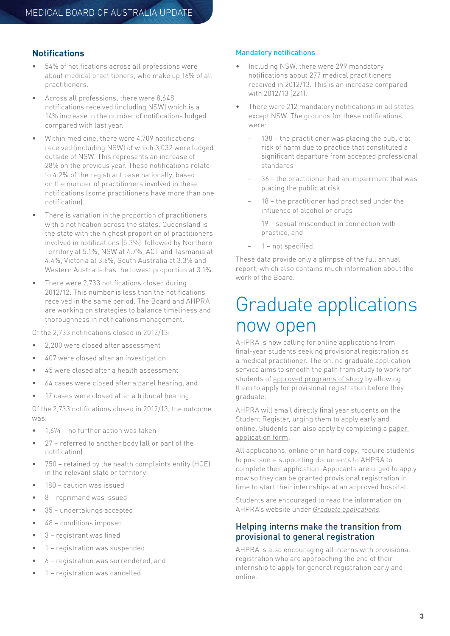#### **Notifications**

- 54% of notifications across all professions were about medical practitioners, who make up 16% of all practitioners.
- Across all professions, there were 8,648 notifications received (including NSW) which is a 14% increase in the number of notifications lodged compared with last year.
- Within medicine, there were 4,709 notifications received (including NSW) of which 3,032 were lodged outside of NSW. This represents an increase of 28% on the previous year. These notifications relate to 4.2% of the registrant base nationally, based on the number of practitioners involved in these notifications (some practitioners have more than one notification).
- There is variation in the proportion of practitioners with a notification across the states. Queensland is the state with the highest proportion of practitioners involved in notifications (5.3%), followed by Northern Territory at 5.1%, NSW at 4.7%, ACT and Tasmania at 4.4%, Victoria at 3.6%, South Australia at 3.3% and Western Australia has the lowest proportion at 3.1%.
- There were 2,733 notifications closed during 2012/12. This number is less than the notifications received in the same period. The Board and AHPRA are working on strategies to balance timeliness and thoroughness in notifications management.

Of the 2,733 notifications closed in 2012/13:

- 2,200 were closed after assessment
- 407 were closed after an investigation
- 45 were closed after a health assessment
- 64 cases were closed after a panel hearing, and
- 17 cases were closed after a tribunal hearing.

Of the 2,733 notifications closed in 2012/13, the outcome was:

- 1,674 no further action was taken
- 27 referred to another body (all or part of the notification)
- 750 retained by the health complaints entity (HCE) in the relevant state or territory
- 180 caution was issued
- 8 reprimand was issued
- 35 undertakings accepted
- 48 conditions imposed
- 3 registrant was fined
- 1 registration was suspended
- 6 registration was surrendered, and
- 1 registration was cancelled.

#### Mandatory notifications

- Including NSW, there were 299 mandatory notifications about 277 medical practitioners received in 2012/13. This is an increase compared with 2012/13 (221).
- There were 212 mandatory notifications in all states except NSW. The grounds for these notifications were:
	- 138 the practitioner was placing the public at risk of harm due to practice that constituted a significant departure from accepted professional standards
	- − 36 the practitioner had an impairment that was placing the public at risk
	- 18 the practitioner had practised under the influence of alcohol or drugs
	- − 19 sexual misconduct in connection with practice, and
	- − 1 not specified.

These data provide only a glimpse of the full annual report, which also contains much information about the work of the Board.

### Graduate applications now open

AHPRA is now calling for online applications from final-year students seeking provisional registration as a medical practitioner. The online graduate application service aims to smooth the path from study to work for students of [approved programs of study](http://www.ahpra.gov.au/Education/Approved-Programs-of-Study.aspx?ref=Medical%20Practitioner&type=General) by allowing them to apply for provisional registration before they graduate.

AHPRA will email directly final year students on the Student Register, urging them to apply early and online. Students can also apply by completing a [paper](http://www.ahpra.gov.au/Registration/Graduate-Applications/Streamlined-Graduate-Application-Forms.aspx)  [application form](http://www.ahpra.gov.au/Registration/Graduate-Applications/Streamlined-Graduate-Application-Forms.aspx).

All applications, online or in hard copy, require students to post some supporting documents to AHPRA to complete their application. Applicants are urged to apply now so they can be granted provisional registration in time to start their internships at an approved hospital.

Students are encouraged to read the information on AHPRA's website under *[Graduate applications.](http://www.ahpra.gov.au/Registration/Graduate-Applications.aspx)*

#### Helping interns make the transition from provisional to general registration

AHPRA is also encouraging all interns with provisional registration who are approaching the end of their internship to apply for general registration early and online.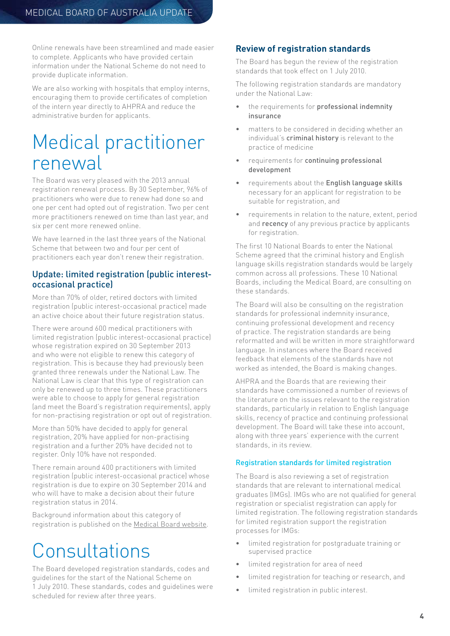<span id="page-3-0"></span>Online renewals have been streamlined and made easier to complete. Applicants who have provided certain information under the National Scheme do not need to provide duplicate information.

We are also working with hospitals that employ interns, encouraging them to provide certificates of completion of the intern year directly to AHPRA and reduce the administrative burden for applicants.

# Medical practitioner renewal

The Board was very pleased with the 2013 annual registration renewal process. By 30 September, 96% of practitioners who were due to renew had done so and one per cent had opted out of registration. Two per cent more practitioners renewed on time than last year, and six per cent more renewed online.

We have learned in the last three years of the National Scheme that between two and four per cent of practitioners each year don't renew their registration.

#### Update: limited registration (public interestoccasional practice)

More than 70% of older, retired doctors with limited registration (public interest-occasional practice) made an active choice about their future registration status.

There were around 600 medical practitioners with limited registration (public interest-occasional practice) whose registration expired on 30 September 2013 and who were not eligible to renew this category of registration. This is because they had previously been granted three renewals under the National Law. The National Law is clear that this type of registration can only be renewed up to three times. These practitioners were able to choose to apply for general registration (and meet the Board's registration requirements), apply for non-practising registration or opt out of registration.

More than 50% have decided to apply for general registration, 20% have applied for non-practising registration and a further 20% have decided not to register. Only 10% have not responded.

There remain around 400 practitioners with limited registration (public interest-occasional practice) whose registration is due to expire on 30 September 2014 and who will have to make a decision about their future registration status in 2014.

Background information about this category of registration is published on the [Medical Board website](http://www.medicalboard.gov.au/Codes-Guidelines-Policies/FAQ/Information-limited-registration-public-interest-occasional-practice.aspx).

# Consultations

The Board developed registration standards, codes and guidelines for the start of the National Scheme on 1 July 2010. These standards, codes and guidelines were scheduled for review after three years.

#### **Review of registration standards**

The Board has begun the review of the registration standards that took effect on 1 July 2010.

The following registration standards are mandatory under the National Law:

- the requirements for professional indemnity insurance
- matters to be considered in deciding whether an individual's criminal history is relevant to the practice of medicine
- requirements for continuing professional development
- requirements about the English language skills necessary for an applicant for registration to be suitable for registration, and
- requirements in relation to the nature, extent, period and recency of any previous practice by applicants for registration.

The first 10 National Boards to enter the National Scheme agreed that the criminal history and English language skills registration standards would be largely common across all professions. These 10 National Boards, including the Medical Board, are consulting on these standards.

The Board will also be consulting on the registration standards for professional indemnity insurance, continuing professional development and recency of practice. The registration standards are being reformatted and will be written in more straightforward language. In instances where the Board received feedback that elements of the standards have not worked as intended, the Board is making changes.

AHPRA and the Boards that are reviewing their standards have commissioned a number of reviews of the literature on the issues relevant to the registration standards, particularly in relation to English language skills, recency of practice and continuing professional development. The Board will take these into account, along with three years' experience with the current standards, in its review.

#### Registration standards for limited registration

The Board is also reviewing a set of registration standards that are relevant to international medical graduates (IMGs). IMGs who are not qualified for general registration or specialist registration can apply for limited registration. The following registration standards for limited registration support the registration processes for IMGs:

- limited registration for postgraduate training or supervised practice
- limited registration for area of need
- limited registration for teaching or research, and
- limited registration in public interest.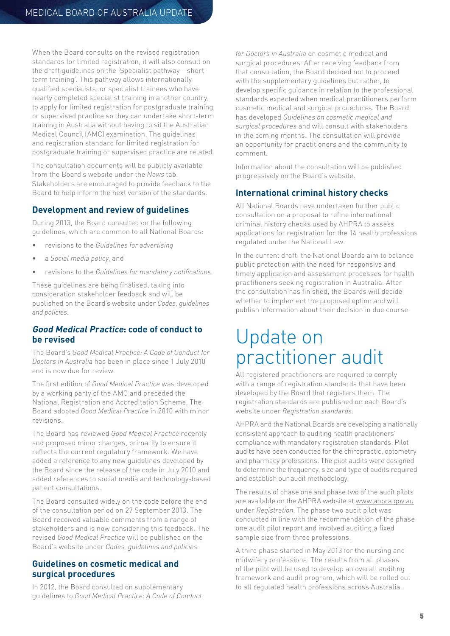<span id="page-4-0"></span>When the Board consults on the revised registration standards for limited registration, it will also consult on the draft guidelines on the 'Specialist pathway – shortterm training'. This pathway allows internationally qualified specialists, or specialist trainees who have nearly completed specialist training in another country, to apply for limited registration for postgraduate training or supervised practice so they can undertake short-term training in Australia without having to sit the Australian Medical Council (AMC) examination. The guidelines and registration standard for limited registration for postgraduate training or supervised practice are related.

The consultation documents will be publicly available from the Board's website under the *News* tab. Stakeholders are encouraged to provide feedback to the Board to help inform the next version of the standards.

#### **Development and review of guidelines**

During 2013, the Board consulted on the following guidelines, which are common to all National Boards:

- revisions to the *Guidelines for advertising*
- a *Social media policy*, and
- revisions to the *Guidelines for mandatory notifications*.

These guidelines are being finalised, taking into consideration stakeholder feedback and will be published on the Board's website under *Codes, guidelines and policies*.

#### **Good Medical Practice: code of conduct to be revised**

The Board's *Good Medical Practice: A Code of Conduct for Doctors in Australia* has been in place since 1 July 2010 and is now due for review.

The first edition of *Good Medical Practice* was developed by a working party of the AMC and preceded the National Registration and Accreditation Scheme. The Board adopted *Good Medical Practice* in 2010 with minor revisions.

The Board has reviewed *Good Medical Practice* recently and proposed minor changes, primarily to ensure it reflects the current regulatory framework. We have added a reference to any new guidelines developed by the Board since the release of the code in July 2010 and added references to social media and technology-based patient consultations.

The Board consulted widely on the code before the end of the consultation period on 27 September 2013. The Board received valuable comments from a range of stakeholders and is now considering this feedback. The revised *Good Medical Practice* will be published on the Board's website under *Codes, guidelines and policies.*

#### **Guidelines on cosmetic medical and surgical procedures**

In 2012, the Board consulted on supplementary guidelines to *Good Medical Practice: A Code of Conduct*  *for Doctors in Australia* on cosmetic medical and surgical procedures. After receiving feedback from that consultation, the Board decided not to proceed with the supplementary quidelines but rather, to develop specific guidance in relation to the professional standards expected when medical practitioners perform cosmetic medical and surgical procedures. The Board has developed *Guidelines on cosmetic medical and surgical procedures* and will consult with stakeholders in the coming months. The consultation will provide an opportunity for practitioners and the community to comment.

Information about the consultation will be published progressively on the Board's website.

#### **International criminal history checks**

All National Boards have undertaken further public consultation on a proposal to refine international criminal history checks used by AHPRA to assess applications for registration for the 14 health professions regulated under the National Law.

In the current draft, the National Boards aim to balance public protection with the need for responsive and timely application and assessment processes for health practitioners seeking registration in Australia. After the consultation has finished, the Boards will decide whether to implement the proposed option and will publish information about their decision in due course.

### Update on practitioner audit

All registered practitioners are required to comply with a range of registration standards that have been developed by the Board that registers them. The registration standards are published on each Board's website under *Registration standards*.

AHPRA and the National Boards are developing a nationally consistent approach to auditing health practitioners' compliance with mandatory registration standards. Pilot audits have been conducted for the chiropractic, optometry and pharmacy professions. The pilot audits were designed to determine the frequency, size and type of audits required and establish our audit methodology.

The results of phase one and phase two of the audit pilots are available on the AHPRA website at [www.ahpra.gov.au](http://www.ahpra.gov.au/Registration/Audit.aspx) under *Registration*. The phase two audit pilot was conducted in line with the recommendation of the phase one audit pilot report and involved auditing a fixed sample size from three professions.

A third phase started in May 2013 for the nursing and midwifery professions. The results from all phases of the pilot will be used to develop an overall auditing framework and audit program, which will be rolled out to all regulated health professions across Australia.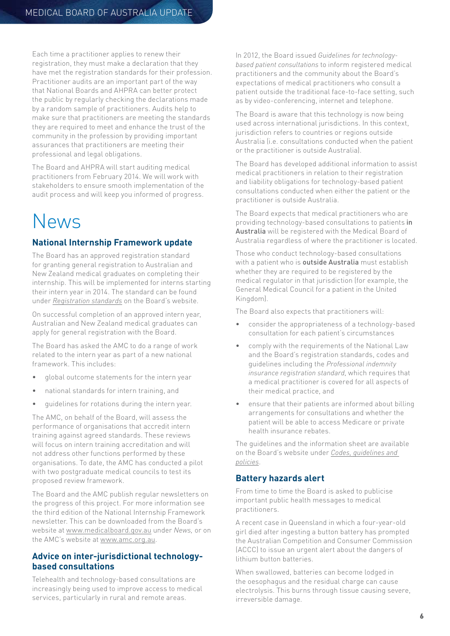<span id="page-5-0"></span>Each time a practitioner applies to renew their registration, they must make a declaration that they have met the registration standards for their profession. Practitioner audits are an important part of the way that National Boards and AHPRA can better protect the public by regularly checking the declarations made by a random sample of practitioners. Audits help to make sure that practitioners are meeting the standards they are required to meet and enhance the trust of the community in the profession by providing important assurances that practitioners are meeting their professional and legal obligations.

The Board and AHPRA will start auditing medical practitioners from February 2014. We will work with stakeholders to ensure smooth implementation of the audit process and will keep you informed of progress.

# News

#### **National Internship Framework update**

The Board has an approved registration standard for granting general registration to Australian and New Zealand medical graduates on completing their internship. This will be implemented for interns starting their intern year in 2014. The standard can be found under *[Registration standards](http://www.medicalboard.gov.au/Registration-Standards.aspx)* on the Board's website.

On successful completion of an approved intern year, Australian and New Zealand medical graduates can apply for general registration with the Board.

The Board has asked the AMC to do a range of work related to the intern year as part of a new national framework. This includes:

- global outcome statements for the intern year
- national standards for intern training, and
- guidelines for rotations during the intern year.

The AMC, on behalf of the Board, will assess the performance of organisations that accredit intern training against agreed standards. These reviews will focus on intern training accreditation and will not address other functions performed by these organisations. To date, the AMC has conducted a pilot with two postgraduate medical councils to test its proposed review framework.

The Board and the AMC publish regular newsletters on the progress of this project. For more information see the third edition of the National Internship Framework newsletter. This can be downloaded from the Board's website at [www.medicalboard.gov.au](http://www.medicalboard.gov.au) under *News,* or on the AMC's website at [www.amc.org.au](http://www.amc.org.au).

#### **Advice on inter-jurisdictional technologybased consultations**

Telehealth and technology-based consultations are increasingly being used to improve access to medical services, particularly in rural and remote areas.

In 2012, the Board issued *Guidelines for technologybased patient consultations* to inform registered medical practitioners and the community about the Board's expectations of medical practitioners who consult a patient outside the traditional face-to-face setting, such as by video-conferencing, internet and telephone.

The Board is aware that this technology is now being used across international jurisdictions. In this context, jurisdiction refers to countries or regions outside Australia (i.e. consultations conducted when the patient or the practitioner is outside Australia).

The Board has developed additional information to assist medical practitioners in relation to their registration and liability obligations for technology-based patient consultations conducted when either the patient or the practitioner is outside Australia.

The Board expects that medical practitioners who are providing technology-based consultations to patients in Australia will be registered with the Medical Board of Australia regardless of where the practitioner is located.

Those who conduct technology-based consultations with a patient who is **outside Australia** must establish whether they are required to be registered by the medical regulator in that jurisdiction (for example, the General Medical Council for a patient in the United Kingdom).

The Board also expects that practitioners will:

- consider the appropriateness of a technology-based consultation for each patient's circumstances
- comply with the requirements of the National Law and the Board's registration standards, codes and guidelines including the *Professional indemnity insurance registration standard*, which requires that a medical practitioner is covered for all aspects of their medical practice, and
- ensure that their patients are informed about billing arrangements for consultations and whether the patient will be able to access Medicare or private health insurance rebates.

The guidelines and the information sheet are available on the Board's website under *[Codes, guidelines and](http://www.medicalboard.gov.au/Codes-Guidelines-Policies.aspx)  [policies](http://www.medicalboard.gov.au/Codes-Guidelines-Policies.aspx)*.

#### **Battery hazards alert**

From time to time the Board is asked to publicise important public health messages to medical practitioners.

A recent case in Queensland in which a four-year-old girl died after ingesting a button battery has prompted the Australian Competition and Consumer Commission (ACCC) to issue an urgent alert about the dangers of lithium button batteries.

When swallowed, batteries can become lodged in the oesophagus and the residual charge can cause electrolysis. This burns through tissue causing severe, irreversible damage.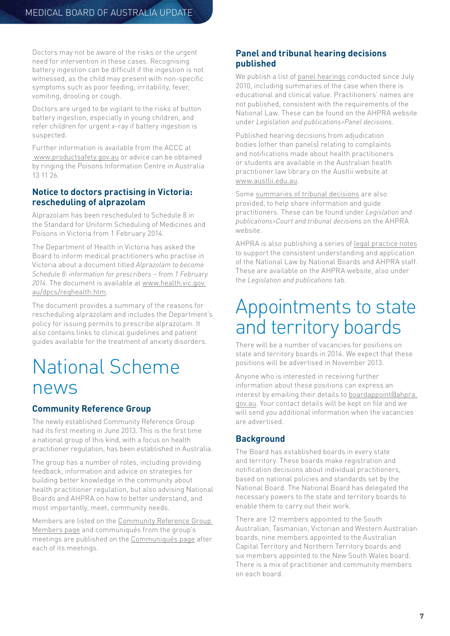<span id="page-6-0"></span>Doctors may not be aware of the risks or the urgent need for intervention in these cases. Recognising battery ingestion can be difficult if the ingestion is not witnessed, as the child may present with non-specific symptoms such as poor feeding, irritability, fever, vomiting, drooling or cough.

Doctors are urged to be vigilant to the risks of button battery ingestion, especially in young children, and refer children for urgent x-ray if battery ingestion is suspected.

Further information is available from the ACCC at [www.productsafety.gov.au](http://www.productsafety.gov.au) or advice can be obtained by ringing the Poisons Information Centre in Australia 13 11 26.

#### **Notice to doctors practising in Victoria: rescheduling of alprazolam**

Alprazolam has been rescheduled to Schedule 8 in the Standard for Uniform Scheduling of Medicines and Poisons in Victoria from 1 February 2014.

The Department of Health in Victoria has asked the Board to inform medical practitioners who practise in Victoria about a document titled *Alprazolam to become Schedule 8: information for prescribers – from 1 February 2014*. The document is available at [www.health.vic.gov.](http://www.health.vic.gov.au/dpcs/reqhealth.htm) [au/dpcs/reqhealth.htm](http://www.health.vic.gov.au/dpcs/reqhealth.htm).

The document provides a summary of the reasons for rescheduling alprazolam and includes the Department's policy for issuing permits to prescribe alprazolam. It also contains links to clinical guidelines and patient guides available for the treatment of anxiety disorders.

### National Scheme news

#### **Community Reference Group**

The newly established Community Reference Group had its first meeting in June 2013. This is the first time a national group of this kind, with a focus on health practitioner regulation, has been established in Australia.

The group has a number of roles, including providing feedback, information and advice on strategies for building better knowledge in the community about health practitioner regulation, but also advising National Boards and AHPRA on how to better understand, and most importantly, meet, community needs.

Members are listed on the [Community Reference Group](http://www.ahpra.gov.au/About-AHPRA/Community-Reference-Group/Members.aspx)  [Members page](http://www.ahpra.gov.au/About-AHPRA/Community-Reference-Group/Members.aspx) and communiqués from the group's meetings are published on the [Communiqués page](http://www.ahpra.gov.au/About-AHPRA/Community-Reference-Group/Communiques.aspx) after each of its meetings.

#### **Panel and tribunal hearing decisions published**

We publish a list of [panel hearings](http://www.ahpra.gov.au/Legislation-and-Publications/Panel-Decisions.aspx) conducted since July 2010, including summaries of the case when there is educational and clinical value. Practitioners' names are not published, consistent with the requirements of the National Law. These can be found on the AHPRA website under *Legislation and publications>Panel decisions*.

Published hearing decisions from adjudication bodies (other than panels) relating to complaints and notifications made about health practitioners or students are available in the Australian health practitioner law library on the Austlii website at [www.austlii.edu.au](http://www.austlii.edu.au).

Some [summaries of tribunal decisions](http://www.ahpra.gov.au/Legislation-and-Publications/Tribunal-Decisions.aspx) are also provided, to help share information and guide practitioners. These can be found under *Legislation and publications>Court and tribunal decisions* on the AHPRA website.

AHPRA is also publishing a series of [legal practice notes](http://www.ahpra.gov.au/Legislation-and-Publications/legal-practice-notes.aspx) to support the consistent understanding and application of the National Law by National Boards and AHPRA staff. These are available on the AHPRA website, also under the *Legislation and publications* tab.

## Appointments to state and territory boards

There will be a number of vacancies for positions on state and territory boards in 2014. We expect that these positions will be advertised in November 2013.

Anyone who is interested in receiving further information about these positions can express an interest by emailing their details to [boardappoint@ahpra.](mailto:boardappoint@ahpra.gov.au) [gov.au](mailto:boardappoint@ahpra.gov.au). Your contact details will be kept on file and we will send you additional information when the vacancies are advertised.

#### **Background**

The Board has established boards in every state and territory. These boards make registration and notification decisions about individual practitioners, based on national policies and standards set by the National Board. The National Board has delegated the necessary powers to the state and territory boards to enable them to carry out their work.

There are 12 members appointed to the South Australian, Tasmanian, Victorian and Western Australian boards, nine members appointed to the Australian Capital Territory and Northern Territory boards and six members appointed to the New South Wales board. There is a mix of practitioner and community members on each board.